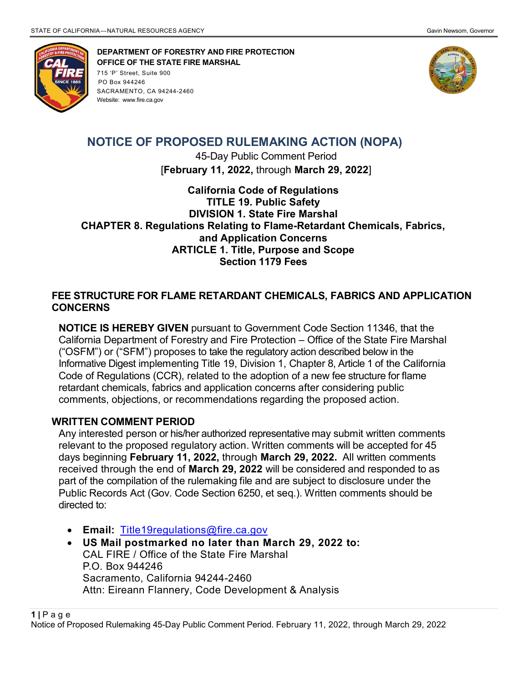

 DEPARTMENT OF FORESTRY AND FIRE PROTECTION OFFICE OF THE STATE FIRE MARSHAL 715 'P' Street, Suite 900 PO Box 944246 SACRAMENTO, CA 94244-2460 Website: www.fire.ca.gov



# NOTICE OF PROPOSED RULEMAKING ACTION (NOPA)

45-Day Public Comment Period [February 11, 2022, through March 29, 2022]

California Code of Regulations TITLE 19. Public Safety DIVISION 1. State Fire Marshal CHAPTER 8. Regulations Relating to Flame-Retardant Chemicals, Fabrics, and Application Concerns ARTICLE 1. Title, Purpose and Scope Section 1179 Fees

#### FEE STRUCTURE FOR FLAME RETARDANT CHEMICALS, FABRICS AND APPLICATION **CONCERNS**

NOTICE IS HEREBY GIVEN pursuant to Government Code Section 11346, that the California Department of Forestry and Fire Protection – Office of the State Fire Marshal ("OSFM") or ("SFM") proposes to take the regulatory action described below in the Informative Digest implementing Title 19, Division 1, Chapter 8, Article 1 of the California Code of Regulations (CCR), related to the adoption of a new fee structure for flame retardant chemicals, fabrics and application concerns after considering public comments, objections, or recommendations regarding the proposed action.

## WRITTEN COMMENT PERIOD

Any interested person or his/her authorized representative may submit written comments relevant to the proposed regulatory action. Written comments will be accepted for 45 days beginning February 11, 2022, through March 29, 2022. All written comments received through the end of March 29, 2022 will be considered and responded to as part of the compilation of the rulemaking file and are subject to disclosure under the Public Records Act (Gov. Code Section 6250, et seq.). Written comments should be directed to:

- Email: Title19regulations@fire.ca.gov
- US Mail postmarked no later than March 29, 2022 to: CAL FIRE / Office of the State Fire Marshal P.O. Box 944246 Sacramento, California 94244-2460 Attn: Eireann Flannery, Code Development & Analysis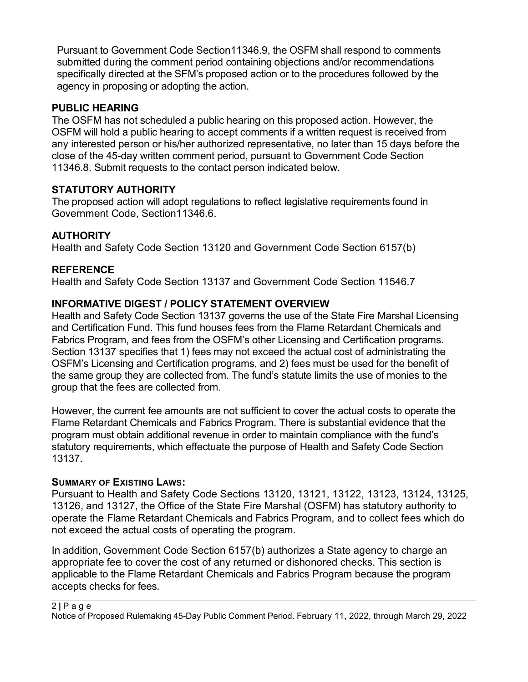Pursuant to Government Code Section11346.9, the OSFM shall respond to comments submitted during the comment period containing objections and/or recommendations specifically directed at the SFM's proposed action or to the procedures followed by the agency in proposing or adopting the action.

## PUBLIC HEARING

The OSFM has not scheduled a public hearing on this proposed action. However, the OSFM will hold a public hearing to accept comments if a written request is received from any interested person or his/her authorized representative, no later than 15 days before the close of the 45-day written comment period, pursuant to Government Code Section 11346.8. Submit requests to the contact person indicated below.

## STATUTORY AUTHORITY

The proposed action will adopt regulations to reflect legislative requirements found in Government Code, Section11346.6.

## **AUTHORITY**

Health and Safety Code Section 13120 and Government Code Section 6157(b)

## **REFERENCE**

Health and Safety Code Section 13137 and Government Code Section 11546.7

## INFORMATIVE DIGEST / POLICY STATEMENT OVERVIEW

Health and Safety Code Section 13137 governs the use of the State Fire Marshal Licensing and Certification Fund. This fund houses fees from the Flame Retardant Chemicals and Fabrics Program, and fees from the OSFM's other Licensing and Certification programs. Section 13137 specifies that 1) fees may not exceed the actual cost of administrating the OSFM's Licensing and Certification programs, and 2) fees must be used for the benefit of the same group they are collected from. The fund's statute limits the use of monies to the group that the fees are collected from.

However, the current fee amounts are not sufficient to cover the actual costs to operate the Flame Retardant Chemicals and Fabrics Program. There is substantial evidence that the program must obtain additional revenue in order to maintain compliance with the fund's statutory requirements, which effectuate the purpose of Health and Safety Code Section 13137.

## SUMMARY OF EXISTING LAWS:

Pursuant to Health and Safety Code Sections 13120, 13121, 13122, 13123, 13124, 13125, 13126, and 13127, the Office of the State Fire Marshal (OSFM) has statutory authority to operate the Flame Retardant Chemicals and Fabrics Program, and to collect fees which do not exceed the actual costs of operating the program.

In addition, Government Code Section 6157(b) authorizes a State agency to charge an appropriate fee to cover the cost of any returned or dishonored checks. This section is applicable to the Flame Retardant Chemicals and Fabrics Program because the program accepts checks for fees.

#### 2 | P a g e

Notice of Proposed Rulemaking 45-Day Public Comment Period. February 11, 2022, through March 29, 2022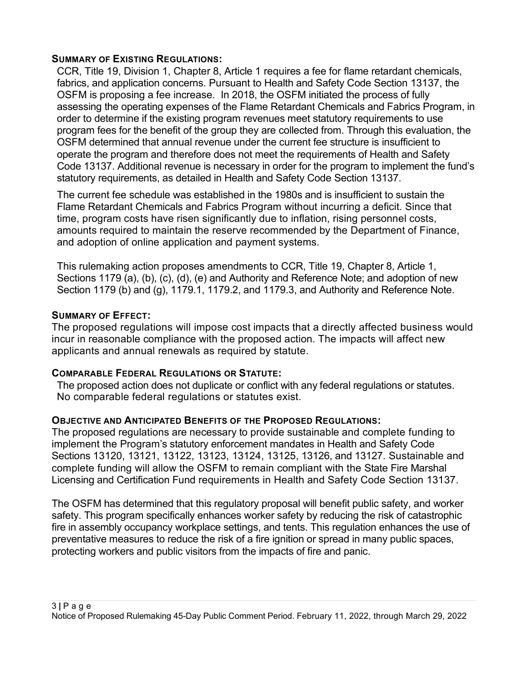#### SUMMARY OF EXISTING REGULATIONS:

CCR, Title 19, Division 1, Chapter 8, Article 1 requires a fee for flame retardant chemicals, fabrics, and application concerns. Pursuant to Health and Safety Code Section 13137, the OSFM is proposing a fee increase. In 2018, the OSFM initiated the process of fully assessing the operating expenses of the Flame Retardant Chemicals and Fabrics Program, in order to determine if the existing program revenues meet statutory requirements to use program fees for the benefit of the group they are collected from. Through this evaluation, the OSFM determined that annual revenue under the current fee structure is insufficient to operate the program and therefore does not meet the requirements of Health and Safety Code 13137. Additional revenue is necessary in order for the program to implement the fund's statutory requirements, as detailed in Health and Safety Code Section 13137.

The current fee schedule was established in the 1980s and is insufficient to sustain the Flame Retardant Chemicals and Fabrics Program without incurring a deficit. Since that time, program costs have risen significantly due to inflation, rising personnel costs, amounts required to maintain the reserve recommended by the Department of Finance, and adoption of online application and payment systems.

This rulemaking action proposes amendments to CCR, Title 19, Chapter 8, Article 1, Sections 1179 (a), (b), (c), (d), (e) and Authority and Reference Note; and adoption of new Section 1179 (b) and (g), 1179.1, 1179.2, and 1179.3, and Authority and Reference Note.

#### SUMMARY OF EFFECT:

The proposed regulations will impose cost impacts that a directly affected business would incur in reasonable compliance with the proposed action. The impacts will affect new applicants and annual renewals as required by statute.

#### COMPARABLE FEDERAL REGULATIONS OR STATUTE:

The proposed action does not duplicate or conflict with any federal regulations or statutes. No comparable federal regulations or statutes exist.

#### OBJECTIVE AND ANTICIPATED BENEFITS OF THE PROPOSED REGULATIONS:

The proposed regulations are necessary to provide sustainable and complete funding to implement the Program's statutory enforcement mandates in Health and Safety Code Sections 13120, 13121, 13122, 13123, 13124, 13125, 13126, and 13127. Sustainable and complete funding will allow the OSFM to remain compliant with the State Fire Marshal Licensing and Certification Fund requirements in Health and Safety Code Section 13137.

The OSFM has determined that this regulatory proposal will benefit public safety, and worker safety. This program specifically enhances worker safety by reducing the risk of catastrophic fire in assembly occupancy workplace settings, and tents. This regulation enhances the use of preventative measures to reduce the risk of a fire ignition or spread in many public spaces, protecting workers and public visitors from the impacts of fire and panic.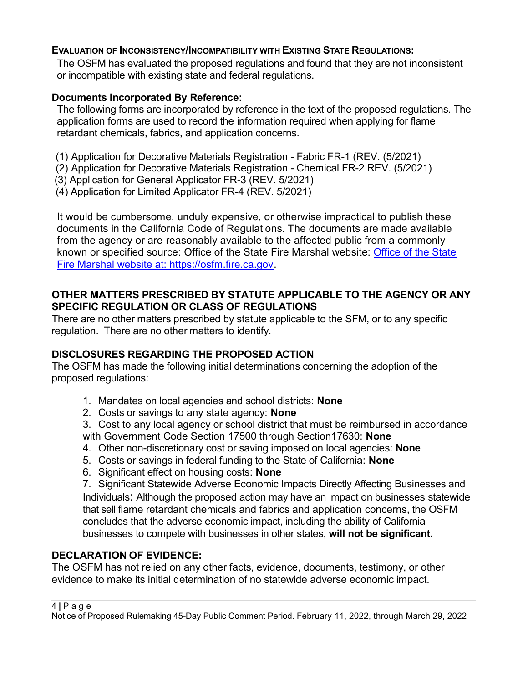#### EVALUATION OF INCONSISTENCY/INCOMPATIBILITY WITH EXISTING STATE REGULATIONS:

The OSFM has evaluated the proposed regulations and found that they are not inconsistent or incompatible with existing state and federal regulations.

## Documents Incorporated By Reference:

The following forms are incorporated by reference in the text of the proposed regulations. The application forms are used to record the information required when applying for flame retardant chemicals, fabrics, and application concerns.

- (1) Application for Decorative Materials Registration Fabric FR-1 (REV. (5/2021)
- (2) Application for Decorative Materials Registration Chemical FR-2 REV. (5/2021)
- (3) Application for General Applicator FR-3 (REV. 5/2021)
- (4) Application for Limited Applicator FR-4 (REV. 5/2021)

It would be cumbersome, unduly expensive, or otherwise impractical to publish these documents in the California Code of Regulations. The documents are made available from the agency or are reasonably available to the affected public from a commonly known or specified source: Office of the State Fire Marshal website: Office of the State Fire Marshal website at: https://osfm.fire.ca.gov.

## OTHER MATTERS PRESCRIBED BY STATUTE APPLICABLE TO THE AGENCY OR ANY SPECIFIC REGULATION OR CLASS OF REGULATIONS

There are no other matters prescribed by statute applicable to the SFM, or to any specific regulation. There are no other matters to identify.

# DISCLOSURES REGARDING THE PROPOSED ACTION

The OSFM has made the following initial determinations concerning the adoption of the proposed regulations:

- 1. Mandates on local agencies and school districts: None
- 2. Costs or savings to any state agency: **None**
- 3. Cost to any local agency or school district that must be reimbursed in accordance with Government Code Section 17500 through Section 17630: None
- 4. Other non-discretionary cost or saving imposed on local agencies: **None**
- 5. Costs or savings in federal funding to the State of California: None
- 6. Significant effect on housing costs: None

7. Significant Statewide Adverse Economic Impacts Directly Affecting Businesses and Individuals: Although the proposed action may have an impact on businesses statewide that sell flame retardant chemicals and fabrics and application concerns, the OSFM concludes that the adverse economic impact, including the ability of California businesses to compete with businesses in other states, will not be significant.

## DECLARATION OF EVIDENCE:

The OSFM has not relied on any other facts, evidence, documents, testimony, or other evidence to make its initial determination of no statewide adverse economic impact.

Notice of Proposed Rulemaking 45-Day Public Comment Period. February 11, 2022, through March 29, 2022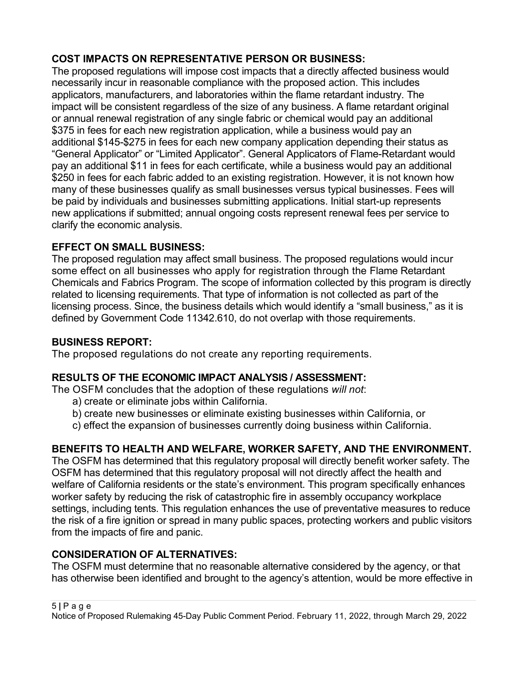## COST IMPACTS ON REPRESENTATIVE PERSON OR BUSINESS:

The proposed regulations will impose cost impacts that a directly affected business would necessarily incur in reasonable compliance with the proposed action. This includes applicators, manufacturers, and laboratories within the flame retardant industry. The impact will be consistent regardless of the size of any business. A flame retardant original or annual renewal registration of any single fabric or chemical would pay an additional \$375 in fees for each new registration application, while a business would pay an additional \$145-\$275 in fees for each new company application depending their status as "General Applicator" or "Limited Applicator". General Applicators of Flame-Retardant would pay an additional \$11 in fees for each certificate, while a business would pay an additional \$250 in fees for each fabric added to an existing registration. However, it is not known how many of these businesses qualify as small businesses versus typical businesses. Fees will be paid by individuals and businesses submitting applications. Initial start-up represents new applications if submitted; annual ongoing costs represent renewal fees per service to clarify the economic analysis.

## EFFECT ON SMALL BUSINESS:

The proposed regulation may affect small business. The proposed regulations would incur some effect on all businesses who apply for registration through the Flame Retardant Chemicals and Fabrics Program. The scope of information collected by this program is directly related to licensing requirements. That type of information is not collected as part of the licensing process. Since, the business details which would identify a "small business," as it is defined by Government Code 11342.610, do not overlap with those requirements.

## BUSINESS REPORT:

The proposed regulations do not create any reporting requirements.

## RESULTS OF THE ECONOMIC IMPACT ANALYSIS / ASSESSMENT:

The OSFM concludes that the adoption of these regulations will not:

- a) create or eliminate jobs within California.
- b) create new businesses or eliminate existing businesses within California, or
- c) effect the expansion of businesses currently doing business within California.

# BENEFITS TO HEALTH AND WELFARE, WORKER SAFETY, AND THE ENVIRONMENT.

The OSFM has determined that this regulatory proposal will directly benefit worker safety. The OSFM has determined that this regulatory proposal will not directly affect the health and welfare of California residents or the state's environment. This program specifically enhances worker safety by reducing the risk of catastrophic fire in assembly occupancy workplace settings, including tents. This regulation enhances the use of preventative measures to reduce the risk of a fire ignition or spread in many public spaces, protecting workers and public visitors from the impacts of fire and panic.

## CONSIDERATION OF ALTERNATIVES:

The OSFM must determine that no reasonable alternative considered by the agency, or that has otherwise been identified and brought to the agency's attention, would be more effective in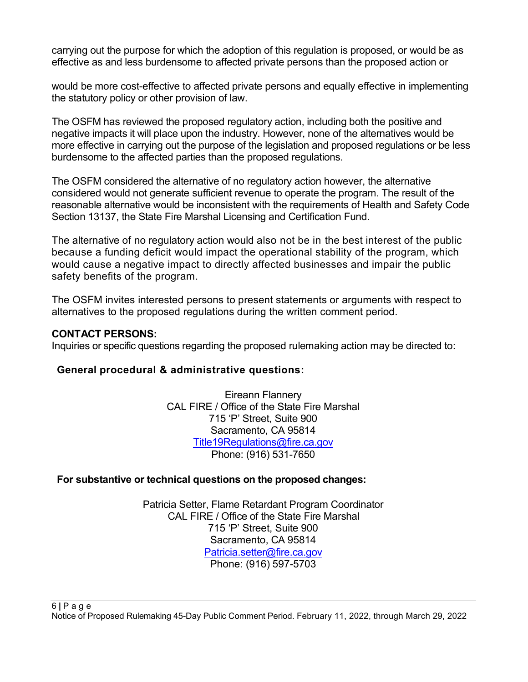carrying out the purpose for which the adoption of this regulation is proposed, or would be as effective as and less burdensome to affected private persons than the proposed action or

would be more cost-effective to affected private persons and equally effective in implementing the statutory policy or other provision of law.

The OSFM has reviewed the proposed regulatory action, including both the positive and negative impacts it will place upon the industry. However, none of the alternatives would be more effective in carrying out the purpose of the legislation and proposed regulations or be less burdensome to the affected parties than the proposed regulations.

The OSFM considered the alternative of no regulatory action however, the alternative considered would not generate sufficient revenue to operate the program. The result of the reasonable alternative would be inconsistent with the requirements of Health and Safety Code Section 13137, the State Fire Marshal Licensing and Certification Fund.

The alternative of no regulatory action would also not be in the best interest of the public because a funding deficit would impact the operational stability of the program, which would cause a negative impact to directly affected businesses and impair the public safety benefits of the program.

The OSFM invites interested persons to present statements or arguments with respect to alternatives to the proposed regulations during the written comment period.

#### CONTACT PERSONS:

Inquiries or specific questions regarding the proposed rulemaking action may be directed to:

#### General procedural & administrative questions:

Eireann Flannery CAL FIRE / Office of the State Fire Marshal 715 'P' Street, Suite 900 Sacramento, CA 95814 Title19Regulations@fire.ca.gov Phone: (916) 531-7650

#### For substantive or technical questions on the proposed changes:

Patricia Setter, Flame Retardant Program Coordinator CAL FIRE / Office of the State Fire Marshal 715 'P' Street, Suite 900 Sacramento, CA 95814 Patricia.setter@fire.ca.gov Phone: (916) 597-5703